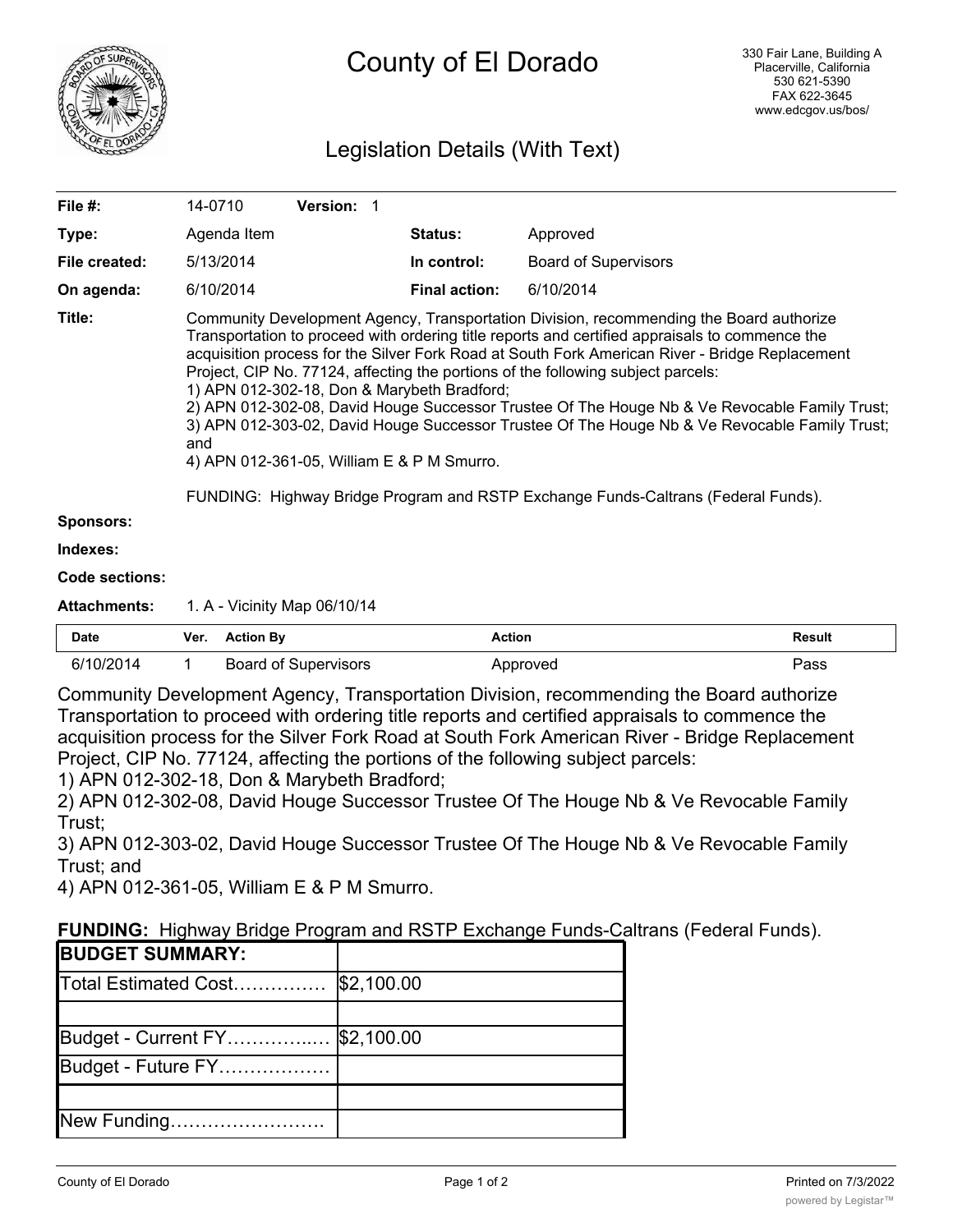

# County of El Dorado

## Legislation Details (With Text)

| File #:               | 14-0710                                                                                                                                                                                                                                                                                                                                                                                                                                                                                                                                                                                                                                                                                                                                                                    | <b>Version: 1</b> |                      |                             |
|-----------------------|----------------------------------------------------------------------------------------------------------------------------------------------------------------------------------------------------------------------------------------------------------------------------------------------------------------------------------------------------------------------------------------------------------------------------------------------------------------------------------------------------------------------------------------------------------------------------------------------------------------------------------------------------------------------------------------------------------------------------------------------------------------------------|-------------------|----------------------|-----------------------------|
| Type:                 | Agenda Item                                                                                                                                                                                                                                                                                                                                                                                                                                                                                                                                                                                                                                                                                                                                                                |                   | <b>Status:</b>       | Approved                    |
| File created:         | 5/13/2014                                                                                                                                                                                                                                                                                                                                                                                                                                                                                                                                                                                                                                                                                                                                                                  |                   | In control:          | <b>Board of Supervisors</b> |
| On agenda:            | 6/10/2014                                                                                                                                                                                                                                                                                                                                                                                                                                                                                                                                                                                                                                                                                                                                                                  |                   | <b>Final action:</b> | 6/10/2014                   |
| Title:                | Community Development Agency, Transportation Division, recommending the Board authorize<br>Transportation to proceed with ordering title reports and certified appraisals to commence the<br>acquisition process for the Silver Fork Road at South Fork American River - Bridge Replacement<br>Project, CIP No. 77124, affecting the portions of the following subject parcels:<br>1) APN 012-302-18, Don & Marybeth Bradford;<br>2) APN 012-302-08, David Houge Successor Trustee Of The Houge Nb & Ve Revocable Family Trust;<br>3) APN 012-303-02, David Houge Successor Trustee Of The Houge Nb & Ve Revocable Family Trust;<br>and<br>4) APN 012-361-05, William E & P M Smurro.<br>FUNDING: Highway Bridge Program and RSTP Exchange Funds-Caltrans (Federal Funds). |                   |                      |                             |
| <b>Sponsors:</b>      |                                                                                                                                                                                                                                                                                                                                                                                                                                                                                                                                                                                                                                                                                                                                                                            |                   |                      |                             |
| Indexes:              |                                                                                                                                                                                                                                                                                                                                                                                                                                                                                                                                                                                                                                                                                                                                                                            |                   |                      |                             |
| <b>Code sections:</b> |                                                                                                                                                                                                                                                                                                                                                                                                                                                                                                                                                                                                                                                                                                                                                                            |                   |                      |                             |
| <b>Attachments:</b>   | 1. A - Vicinity Map 06/10/14                                                                                                                                                                                                                                                                                                                                                                                                                                                                                                                                                                                                                                                                                                                                               |                   |                      |                             |

| <b>Date</b> | Ver. | <b>Action By</b>     | Action    | <b>Result</b> |
|-------------|------|----------------------|-----------|---------------|
| 6/10/2014   |      | Board of Supervisors | '\pproved | Pass          |

Community Development Agency, Transportation Division, recommending the Board authorize Transportation to proceed with ordering title reports and certified appraisals to commence the acquisition process for the Silver Fork Road at South Fork American River - Bridge Replacement Project, CIP No. 77124, affecting the portions of the following subject parcels:

1) APN 012-302-18, Don & Marybeth Bradford;

2) APN 012-302-08, David Houge Successor Trustee Of The Houge Nb & Ve Revocable Family Trust;

3) APN 012-303-02, David Houge Successor Trustee Of The Houge Nb & Ve Revocable Family Trust; and

4) APN 012-361-05, William E & P M Smurro.

| <b>FUNDING:</b> Highway Bridge Program and RSTP Exchange Funds-Caltrans (Federal Funds). |
|------------------------------------------------------------------------------------------|
|------------------------------------------------------------------------------------------|

| <b>BUDGET SUMMARY:</b>         |            |
|--------------------------------|------------|
| Total Estimated Cost           | \$2,100.00 |
|                                |            |
| Budget - Current FY \$2,100.00 |            |
| Budget - Future FY             |            |
|                                |            |
| New Funding                    |            |